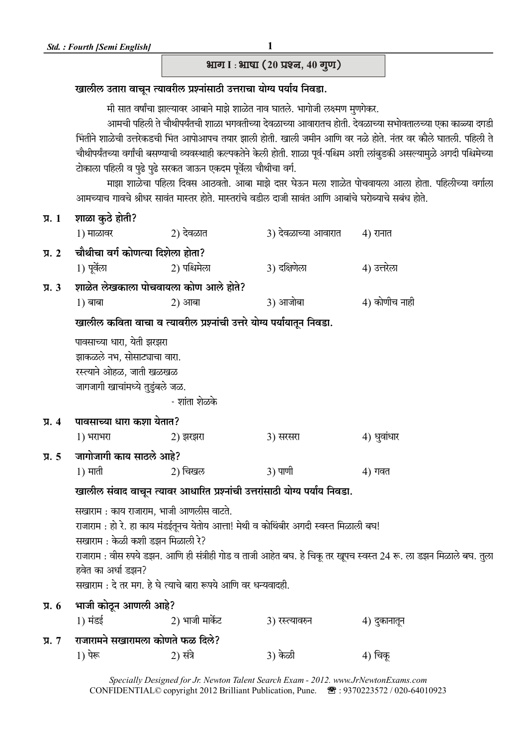## भाग । : भाषा (20 प्रश्न, 40 गुण)

## खालील उतारा वाचून त्यावरील प्रश्नांसाठी उत्तराचा योग्य पर्याय निवडा.

मी सात वर्षांचा झाल्यावर आबाने माझे शाळेत नाव घातले. भागोजी लक्ष्मण मुणगेकर.

आमची पहिली ते चौथीपर्यंतची शाळा भगवतीच्या देवळाच्या आवारातच होती. देवळाच्या सभोवतालच्या एका काळ्या दगडी भिंतीने शाळेची उत्तरेकडची भिंत आपोआपच तयार झाली होती. खाली जमीन आणि वर नळे होते. नंतर वर कौले घातली. पहिली ते चौथीपर्यंतच्या वर्गांची बसण्याची व्यवस्थाही कल्पकतेने केली होती. शाळा पूर्व-पश्चिम अशी लांबुडकी असल्यामुळे अगदी पश्चिमेच्या टोकाला पहिली व पुढे पुढे सरकत जाऊन एकदम पूर्वेला चौथीचा वर्ग.

माझा शाळेचा पहिला दिवस आठवतो. आबा माझे दप्तर घेऊन मला शाळेत पोचवायला आला होता. पहिलीच्या वर्गाला .<br>थामनगान गातूने श्रीधा मातंत माम्त्य दोते. माम्त्यांने तृतीळ दाजी मातंत आणि अग्लांने घुगेलगाने गर्नुध दोते

|                                 |                                         |                                                                            | जानव्याय गायय श्रावर सांपत नास्तर हात. नास्तराय पडाल पाणा सांपत जााण जांषाय वराज्याय संषय हात. |                                                                                                                   |
|---------------------------------|-----------------------------------------|----------------------------------------------------------------------------|------------------------------------------------------------------------------------------------|-------------------------------------------------------------------------------------------------------------------|
| $\P$ $\overline{A}$ . $1$       | शाळा कुठे होती?                         |                                                                            |                                                                                                |                                                                                                                   |
|                                 | $1)$ माळावर                             | 2) देवळात                                                                  | 3) देवळाच्या आवारात                                                                            | 4) रानात                                                                                                          |
| $\overline{y}$ . 2              | चौथीचा वर्ग कोणत्या दिशेला होता?        |                                                                            |                                                                                                |                                                                                                                   |
|                                 | 1) पूर्वेला                             | 2) पश्चिमेला                                                               | 3) दक्षिणेला                                                                                   | 4) उत्तरेला                                                                                                       |
| $\overline{y}$ . $3$            | शाळेत लेखकाला पोचवायला कोण आले होते?    |                                                                            |                                                                                                |                                                                                                                   |
|                                 | $1)$ बाबा                               | 2) आबा                                                                     | 3) आजोबा                                                                                       | 4) कोणीच नाही                                                                                                     |
|                                 |                                         | खालील कविता वाचा व त्यावरील प्रश्नांची उत्तरे योग्य पर्यायातून निवडा.      |                                                                                                |                                                                                                                   |
|                                 | पावसाच्या धारा, येती झरझरा              |                                                                            |                                                                                                |                                                                                                                   |
|                                 | झाकळले नभ, सोसाट्याचा वारा.             |                                                                            |                                                                                                |                                                                                                                   |
|                                 | रस्त्याने ओहळ, जाती खळखळ                |                                                                            |                                                                                                |                                                                                                                   |
|                                 | जागजागी खाचांमध्ये तुडुंबले जळ.         |                                                                            |                                                                                                |                                                                                                                   |
|                                 |                                         | - शांता शेळके                                                              |                                                                                                |                                                                                                                   |
| $\overline{y}$ . 4              | पावसाच्या धारा कशा येतात?               |                                                                            |                                                                                                |                                                                                                                   |
|                                 | 1) भराभरा                               | 2) झरझरा                                                                   | <b>3) सरसरा</b>                                                                                | 4) धुवांधार                                                                                                       |
| $\overline{y}$ . 5              | जागोजागी काय साठले आहे?                 |                                                                            |                                                                                                |                                                                                                                   |
|                                 | $1)$ माती                               | 2) चिखल                                                                    | 3) पाणी                                                                                        | 4) गवत                                                                                                            |
|                                 |                                         | खालील संवाद वाचून त्यावर आधारित प्रश्नांची उत्तरांसाठी योग्य पर्याय निवडा. |                                                                                                |                                                                                                                   |
|                                 | सखाराम : काय राजाराम, भाजी आणलीस वाटते. |                                                                            |                                                                                                |                                                                                                                   |
|                                 |                                         |                                                                            | राजाराम : हो रे. हा काय मंडईतूनच येतोय आत्ता! मेथी व कोथिंबीर अगदी स्वस्त मिळाली बघ!           |                                                                                                                   |
|                                 | सखाराम : केळी कशी डझन मिळाली रे?        |                                                                            |                                                                                                |                                                                                                                   |
|                                 |                                         |                                                                            |                                                                                                | राजाराम : वीस रुपये डझन. आणि ही संत्रीही गोड व ताजी आहेत बघ. हे चिकू तर खूपच स्वस्त 24 रू. ला डझन मिळाले बघ. तुला |
|                                 | हवेत का अर्धा डझन?                      |                                                                            |                                                                                                |                                                                                                                   |
|                                 |                                         | सखाराम : दे तर मग. हे घे त्याचे बारा रूपये आणि वर धन्यवादही.               |                                                                                                |                                                                                                                   |
| $\overline{A}$ . 6              | भाजी कोठून आणली आहे?                    |                                                                            |                                                                                                |                                                                                                                   |
|                                 | 1) मंडई                                 | 2) भाजी मार्केट                                                            | 3) रस्त्यावरुन                                                                                 | 4) दुकानातून                                                                                                      |
| $\overline{y}$ . $\overline{z}$ | राजारामने सखारामला कोणते फळ दिले?       |                                                                            |                                                                                                |                                                                                                                   |
|                                 | 1) पेरू                                 | 2) संत्रे                                                                  | 3) केळी                                                                                        | 4) चिकू                                                                                                           |

Specially Designed for Jr. Newton Talent Search Exam - 2012. www.JrNewtonExams.com CONFIDENTIAL© copyright 2012 Brilliant Publication, Pune. 图: 9370223572 / 020-64010923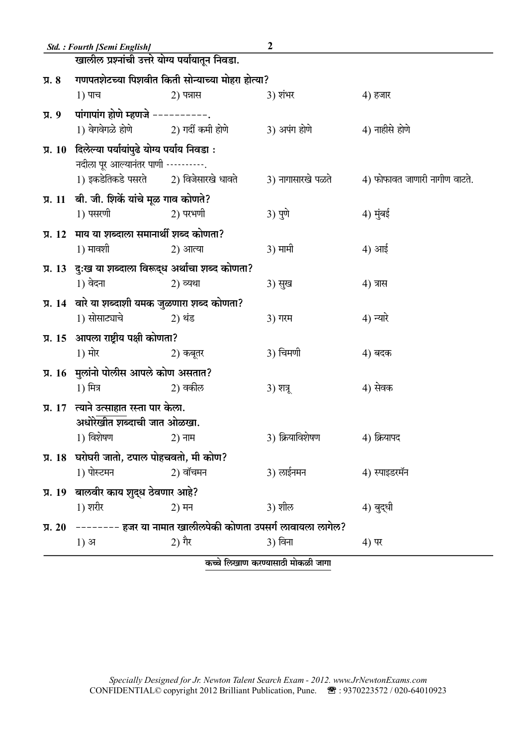|                    | Std. : Fourth [Semi English]                        |                                                                     | 2                                        |                               |
|--------------------|-----------------------------------------------------|---------------------------------------------------------------------|------------------------------------------|-------------------------------|
|                    | खालील प्रश्नांची उत्तरे योग्य पर्यायातून निवडा.     |                                                                     |                                          |                               |
| $\sqrt{3}$ . 8     |                                                     | गणपतशेटच्या पिशवीत किती सोन्याच्या मोहरा होत्या?                    |                                          |                               |
|                    | 1) पाच                                              | $2)$ पत्रास                                                         | 3) शंभर                                  | 4) हजार                       |
| $\overline{y}$ . 9 | पांगापांग होणे म्हणजे ----------.                   |                                                                     |                                          |                               |
|                    |                                                     |                                                                     | 3) अपंग होणे                             | 4) नाहीसे होणे                |
|                    | प्र. 10 दिलेल्या पर्यायांपुढे योग्य पर्याय निवडा:   |                                                                     |                                          |                               |
|                    | नदीला पूर आल्यानंतर पाणी ----------.                |                                                                     |                                          |                               |
|                    |                                                     |                                                                     | 3) नागासारखे पळते                        | 4) फोफावत जाणारी नागीण वाटते. |
|                    | प्र. 11 बी. जी. शिर्के यांचे मूळ गाव कोणते?         |                                                                     |                                          |                               |
|                    | 1) पसरणी                                            | 2) परभणी                                                            | <b>3)</b> पुणे                           | 4) मुंबई                      |
|                    | प्र. 12 माय या शब्दाला समानार्थी शब्द कोणता?        |                                                                     |                                          |                               |
|                    | 1) मावशी                                            | 2) आत्या                                                            | 3) मामी                                  | 4) आई                         |
|                    | प्र. 13 दुःख या शब्दाला विरूद्ध अर्थाचा शब्द कोणता? |                                                                     |                                          |                               |
|                    | 1) वेदना                                            | 2) व्यथा                                                            | 3) सुख                                   | 4) त्रास                      |
|                    | प्र. 14 वारे या शब्दाशी यमक जुळणारा शब्द कोणता?     |                                                                     |                                          |                               |
|                    | 1) सोसाट्याचे 2) थंड                                |                                                                     | 3) गरम                                   | 4) न्यारे                     |
|                    | प्र. 15 आपला राष्ट्रीय पक्षी कोणता?                 |                                                                     |                                          |                               |
|                    | 1) मोर                                              | 2) कबूतर                                                            | 3) चिमणी                                 | 4) बदक                        |
|                    | प्र. 16 मुलांनो पोलीस आपले कोण असतात?               |                                                                     |                                          |                               |
|                    | 1) मित्र                                            | 2) वकील                                                             | 3) शत्रू                                 | 4) सेवक                       |
|                    | प्र. 17 त्याने उत्साहात रस्ता पार केला.             |                                                                     |                                          |                               |
|                    | अधोरेखीत शब्दाची जात ओळखा.                          |                                                                     |                                          |                               |
|                    | 1) विशेषण<br>2) नाम                                 |                                                                     | 3) क्रियाविशेषण                          | 4) क्रियापद                   |
|                    | प्र. 18 घरोघरी जातो, टपाल पोहचवतो, मी कोण?          |                                                                     |                                          |                               |
|                    | 1) पोस्टमन                                          | 2) वॉचमन                                                            | 3) लाईनमन                                | 4) स्पाइडरमॅन                 |
|                    | प्र. 19 बालवीर काय शुद्ध ठेवणार आहे?                |                                                                     |                                          |                               |
|                    | 1) शरीर                                             | 2) मन                                                               | 3) शील                                   | 4) बुद्धी                     |
|                    |                                                     | प्र. 20 –––––––– हजर या नामात खालीलपेकी कोणता उपसर्ग लावायला लागेल? |                                          |                               |
|                    | $1)$ अ                                              | 2) गैर                                                              | 3) विना                                  | 4) पर                         |
|                    |                                                     |                                                                     | <del>Curano a manuale nel 12 de ma</del> |                               |

कच्चे लिखाण करण्यासाठी मोकळी जागा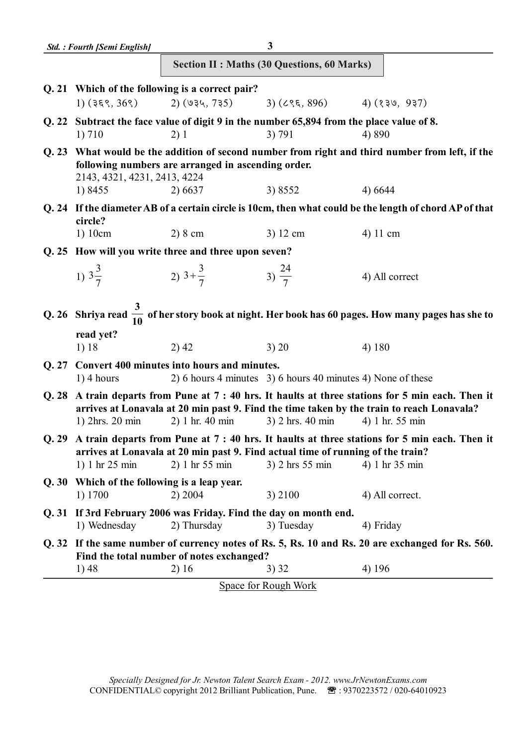|       | <b>Std.: Fourth [Semi English]</b>           |                                                                                                   | 3                                                           |                                                                                                                                                                                                              |
|-------|----------------------------------------------|---------------------------------------------------------------------------------------------------|-------------------------------------------------------------|--------------------------------------------------------------------------------------------------------------------------------------------------------------------------------------------------------------|
|       |                                              |                                                                                                   | <b>Section II : Maths (30 Questions, 60 Marks)</b>          |                                                                                                                                                                                                              |
|       |                                              | Q. 21 Which of the following is a correct pair?                                                   |                                                             |                                                                                                                                                                                                              |
|       |                                              | 1) $(355, 365)$ 2) $(934, 735)$ 3) $(655, 896)$ 4) $(339, 937)$                                   |                                                             |                                                                                                                                                                                                              |
| Q. 22 |                                              | Subtract the face value of digit 9 in the number 65,894 from the place value of 8.                |                                                             |                                                                                                                                                                                                              |
|       | 1) 710                                       | 2)1                                                                                               | 3) 791                                                      | 4) 890                                                                                                                                                                                                       |
| Q. 23 | 2143, 4321, 4231, 2413, 4224                 | following numbers are arranged in ascending order.                                                |                                                             | What would be the addition of second number from right and third number from left, if the                                                                                                                    |
|       | 1) 8455                                      | 2) 6637                                                                                           | 3) 8552                                                     | 4) 6644                                                                                                                                                                                                      |
|       | circle?                                      |                                                                                                   |                                                             | Q. 24 If the diameter AB of a certain circle is 10cm, then what could be the length of chord AP of that                                                                                                      |
|       | 1) 10cm                                      | $2)8$ cm                                                                                          | 3) 12 cm                                                    | 4) 11 cm                                                                                                                                                                                                     |
|       |                                              | Q. 25 How will you write three and three upon seven?                                              |                                                             |                                                                                                                                                                                                              |
|       | 1) $3\frac{3}{7}$                            | 2) $3+\frac{3}{7}$ 3) $\frac{24}{7}$                                                              |                                                             | 4) All correct                                                                                                                                                                                               |
|       |                                              |                                                                                                   |                                                             | Q. 26 Shriya read $\frac{3}{10}$ of her story book at night. Her book has 60 pages. How many pages has she to                                                                                                |
|       | read yet?                                    |                                                                                                   |                                                             |                                                                                                                                                                                                              |
|       | 1) 18                                        | 2)42                                                                                              | 3) 20                                                       | 4) 180                                                                                                                                                                                                       |
| Q. 27 | $1)$ 4 hours                                 | Convert 400 minutes into hours and minutes.                                                       | 2) 6 hours 4 minutes 3) 6 hours 40 minutes 4) None of these |                                                                                                                                                                                                              |
| Q.28  | 1) 2hrs. 20 min                              | 2) 1 hr. 40 min                                                                                   | 3) 2 hrs. 40 min                                            | A train departs from Pune at 7 : 40 hrs. It haults at three stations for 5 min each. Then it<br>arrives at Lonavala at 20 min past 9. Find the time taken by the train to reach Lonavala?<br>4) 1 hr. 55 min |
|       | 1) 1 hr 25 min                               | arrives at Lonavala at 20 min past 9. Find actual time of running of the train?<br>2) 1 hr 55 min | 3) 2 hrs 55 min                                             | Q. 29 A train departs from Pune at 7:40 hrs. It haults at three stations for 5 min each. Then it<br>4) 1 hr 35 min                                                                                           |
|       | Q. 30 Which of the following is a leap year. |                                                                                                   |                                                             |                                                                                                                                                                                                              |
|       | 1) 1700                                      | 2) 2004                                                                                           | 3) 2100                                                     | 4) All correct.                                                                                                                                                                                              |
|       | 1) Wednesday                                 | Q. 31 If 3rd February 2006 was Friday. Find the day on month end.<br>2) Thursday                  | 3) Tuesday                                                  | 4) Friday                                                                                                                                                                                                    |
|       |                                              |                                                                                                   |                                                             | Q. 32 If the same number of currency notes of Rs. 5, Rs. 10 and Rs. 20 are exchanged for Rs. 560.                                                                                                            |
|       |                                              | Find the total number of notes exchanged?                                                         |                                                             |                                                                                                                                                                                                              |
|       | 1) 48                                        | 2) 16                                                                                             | 3)32                                                        | 4) 196                                                                                                                                                                                                       |
|       |                                              |                                                                                                   | <b>Space for Rough Work</b>                                 |                                                                                                                                                                                                              |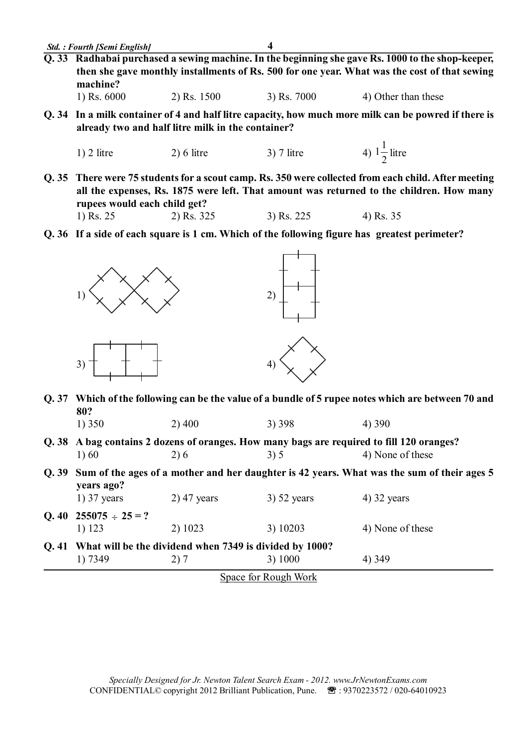**Q. 33 Radhabai purchased a sewing machine. In the beginning she gave Rs. 1000 to the shop-keeper, then she gave monthly installments of Rs. 500 for one year. What was the cost of that sewing machine?**

|  | 1) Rs. $6000$ | 2) Rs. 1500 | $3)$ Rs. $7000$ | 4) Other than these |
|--|---------------|-------------|-----------------|---------------------|
|--|---------------|-------------|-----------------|---------------------|

**Q. 34 In a milk container of 4 and half litre capacity, how much more milk can be powred if there is already two and half litre milk in the container?**

1) 2 litre  
2) 6 litre  
3) 7 litre  
4) 
$$
1\frac{1}{2}
$$
 litre

**Q. 35 There were 75 students for a scout camp. Rs. 350 were collected from each child. After meeting all the expenses, Rs. 1875 were left. That amount was returned to the children. How many rupees would each child get?**

1) Rs. 
$$
25
$$
 2) Rs.  $3$ 

1) Rs. 25 2) Rs. 325 3) Rs. 225 4) Rs. 35

**Q. 36 If a side of each square is 1 cm. Which of the following figure has greatest perimeter?**



- **Q. 37 Which of the following can be the value of a bundle of 5 rupee notes which are between 70 and 80?**
	- 1) 350 2) 400 3) 398 4) 390
- **Q. 38 A bag contains 2 dozens of oranges. How many bags are required to fill 120 oranges?** 1) 60 2) 6 3) 5 4) None of these
- **Q. 39 Sum of the ages of a mother and her daughter is 42 years. What was the sum of their ages 5 years ago?**

| 1) 7349                    | Q. 41 What will be the dividend when 7349 is divided by 1000?<br>2)7 | 3) 1000       | 4) 349           |
|----------------------------|----------------------------------------------------------------------|---------------|------------------|
|                            |                                                                      |               |                  |
| 1) 123                     | 2) 1023                                                              | 3) 10203      | 4) None of these |
| Q. 40 $255075 \div 25 = ?$ |                                                                      |               |                  |
| $1)$ 37 years              | $2)$ 47 years                                                        | $3)$ 52 years | $(4)$ 32 years   |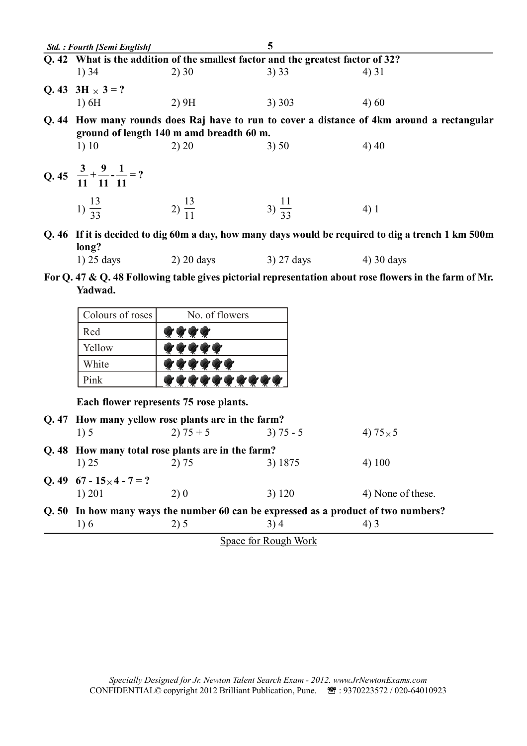| Std. : Fourth [Semi English]                           |                                                                                  | 5                  |                                                                                                        |
|--------------------------------------------------------|----------------------------------------------------------------------------------|--------------------|--------------------------------------------------------------------------------------------------------|
|                                                        | Q. 42 What is the addition of the smallest factor and the greatest factor of 32? |                    |                                                                                                        |
| 1) 34                                                  | 2)30                                                                             | 3) 33              | 4) 31                                                                                                  |
| Q. 43 $3H \times 3 = ?$                                |                                                                                  |                    |                                                                                                        |
| 1)6H                                                   | 2)9H                                                                             | 3)303              | 4) 60                                                                                                  |
|                                                        | ground of length 140 m amd breadth 60 m.                                         |                    | Q. 44 How many rounds does Raj have to run to cover a distance of 4km around a rectangular             |
| 1)10                                                   | 2) 20                                                                            | 3) 50              | 4) 40                                                                                                  |
|                                                        |                                                                                  |                    |                                                                                                        |
| Q. 45 $\frac{3}{11} + \frac{9}{11} - \frac{1}{11} = ?$ |                                                                                  |                    |                                                                                                        |
| 1) $\frac{13}{33}$ 2) $\frac{13}{11}$                  |                                                                                  | 3) $\frac{11}{33}$ | 4)1                                                                                                    |
|                                                        |                                                                                  |                    | Q. 46 If it is decided to dig 60m a day, how many days would be required to dig a trench 1 km 500m     |
| long?                                                  |                                                                                  |                    |                                                                                                        |
| $1)$ 25 days                                           | 2) 20 days 3) 27 days 4) 30 days                                                 |                    |                                                                                                        |
| Yadwad.                                                |                                                                                  |                    | For Q. 47 & Q. 48 Following table gives pictorial representation about rose flowers in the farm of Mr. |

| Colours of roses   | No. of flowers |
|--------------------|----------------|
| Red                |                |
| Yellow             |                |
| White              |                |
| $\mathbf{P_{ink}}$ |                |

**Each flower represents 75 rose plants.**

| 1)5                              |      | $3) 75 - 5$          | 4) $75 \times 5$                                                                                                                                                                              |
|----------------------------------|------|----------------------|-----------------------------------------------------------------------------------------------------------------------------------------------------------------------------------------------|
|                                  |      |                      |                                                                                                                                                                                               |
| 1) 25                            |      | 3) 1875              | 4)100                                                                                                                                                                                         |
| Q. 49 $67 - 15 \times 4 - 7 = ?$ |      |                      |                                                                                                                                                                                               |
| 1) 201                           | 2) 0 | 3) 120               | 4) None of these.                                                                                                                                                                             |
|                                  |      |                      |                                                                                                                                                                                               |
| 1) 6                             | 2) 5 | 3) 4                 | 4) 3                                                                                                                                                                                          |
|                                  |      | $2) 75 + 5$<br>2) 75 | Q. 47 How many yellow rose plants are in the farm?<br>Q. 48 How many total rose plants are in the farm?<br>Q. 50 In how many ways the number 60 can be expressed as a product of two numbers? |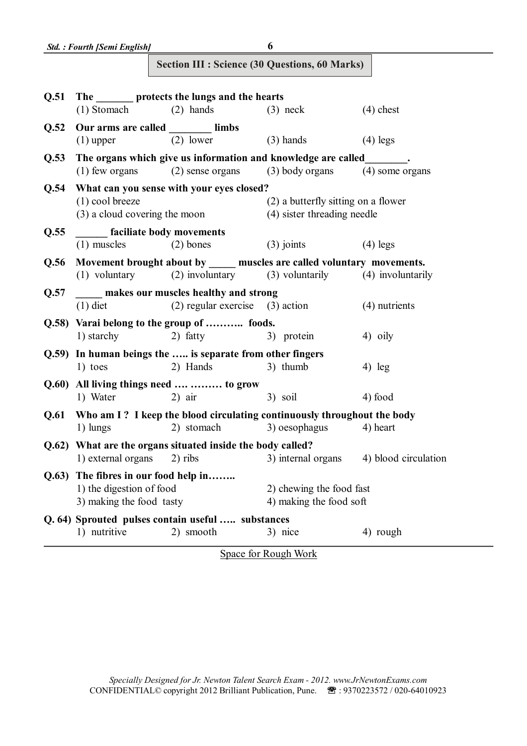| <b>Section III : Science (30 Questions, 60 Marks)</b> |  |  |  |  |  |
|-------------------------------------------------------|--|--|--|--|--|
|-------------------------------------------------------|--|--|--|--|--|

| Q.51  |                                   | The <u>same protects</u> the lungs and the hearts                       |                                     |                      |
|-------|-----------------------------------|-------------------------------------------------------------------------|-------------------------------------|----------------------|
|       | $(1)$ Stomach $(2)$ hands         |                                                                         | $(3)$ neck                          | $(4)$ chest          |
| Q.52  | Our arms are called _______ limbs |                                                                         |                                     |                      |
|       | $(1)$ upper                       | $(2)$ lower                                                             | $(3)$ hands                         | $(4)$ legs           |
| Q.53  |                                   | The organs which give us information and knowledge are called           |                                     |                      |
|       | $(1)$ few organs                  | (2) sense organs                                                        | $(3)$ body organs                   | $(4)$ some organs    |
| Q.54  |                                   | What can you sense with your eyes closed?                               |                                     |                      |
|       | $(1)$ cool breeze                 |                                                                         | (2) a butterfly sitting on a flower |                      |
|       | (3) a cloud covering the moon     |                                                                         | (4) sister threading needle         |                      |
| Q.55  | <b>faciliate body movements</b>   |                                                                         |                                     |                      |
|       | $(1)$ muscles                     | $(2)$ bones                                                             | $(3)$ joints                        | $(4)$ legs           |
| Q.56  |                                   | Movement brought about by _____ muscles are called voluntary movements. |                                     |                      |
|       |                                   | (1) voluntary (2) involuntary (3) voluntarily                           |                                     | (4) involuntarily    |
| Q.57  |                                   | makes our muscles healthy and strong                                    |                                     |                      |
|       | $(1)$ diet                        | $(2)$ regular exercise $(3)$ action                                     |                                     | (4) nutrients        |
|       |                                   | Q.58) Varai belong to the group of  foods.                              |                                     |                      |
|       | 1) starchy                        | 2) fatty                                                                | 3) protein                          | 4) oily              |
|       |                                   | Q.59) In human beings the  is separate from other fingers               |                                     |                      |
|       | 1) toes                           | 2) Hands                                                                | 3) thumb                            | $4)$ leg             |
|       |                                   | Q.60) All living things need   to grow                                  |                                     |                      |
|       | 1) Water                          | $2)$ air                                                                | 3) soil                             | 4) food              |
| Q.61  |                                   | Who am I? I keep the blood circulating continuously throughout the body |                                     |                      |
|       | 1) lungs                          | 2) stomach                                                              | 3) oesophagus                       | 4) heart             |
|       |                                   | Q.62) What are the organs situated inside the body called?              |                                     |                      |
|       | 1) external organs                | 2) ribs                                                                 | 3) internal organs                  | 4) blood circulation |
| Q.63) | The fibres in our food help in    |                                                                         |                                     |                      |
|       | 1) the digestion of food          |                                                                         | 2) chewing the food fast            |                      |
|       | 3) making the food tasty          |                                                                         | 4) making the food soft             |                      |
|       |                                   | Q. 64) Sprouted pulses contain useful  substances                       |                                     |                      |
|       | 1) nutritive                      | 2) smooth                                                               | 3) nice                             | 4) rough             |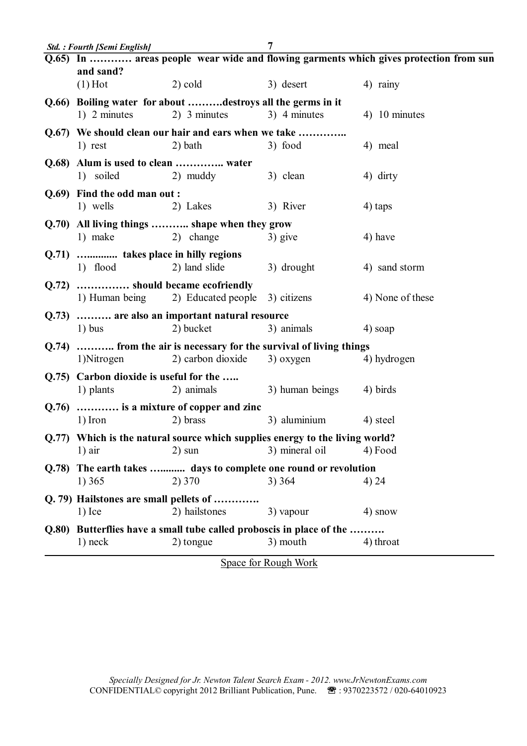|       | <b>Std.: Fourth [Semi English]</b>              |                                                                              | 7                        |                                                                                       |
|-------|-------------------------------------------------|------------------------------------------------------------------------------|--------------------------|---------------------------------------------------------------------------------------|
|       |                                                 |                                                                              |                          | Q.65) In  areas people wear wide and flowing garments which gives protection from sun |
|       | and sand?                                       |                                                                              |                          |                                                                                       |
|       | $(1)$ Hot                                       | $2)$ cold                                                                    | 3) desert                | 4) rainy                                                                              |
|       |                                                 | Q.66) Boiling water for about destroys all the germs in it                   |                          |                                                                                       |
|       | 1) 2 minutes                                    | 2) 3 minutes                                                                 | 3) 4 minutes             | 4) 10 minutes                                                                         |
|       |                                                 | Q.67) We should clean our hair and ears when we take                         |                          |                                                                                       |
|       | 1) rest                                         | $2)$ bath                                                                    | 3) food                  | 4) meal                                                                               |
|       |                                                 |                                                                              |                          |                                                                                       |
|       | Q.68) Alum is used to clean  water<br>1) soiled | 2) muddy                                                                     | 3) clean                 | 4) dirty                                                                              |
|       |                                                 |                                                                              |                          |                                                                                       |
|       | Q.69) Find the odd man out:                     |                                                                              |                          |                                                                                       |
|       | 1) wells                                        | 2) Lakes                                                                     | 3) River                 | 4) taps                                                                               |
|       |                                                 | Q.70) All living things  shape when they grow                                |                          |                                                                                       |
|       | 1) make                                         | 2) change                                                                    | 3) give                  | 4) have                                                                               |
|       | Q.71)  takes place in hilly regions             |                                                                              |                          |                                                                                       |
|       | 1) flood                                        | 2) land slide                                                                | 3) drought               | 4) sand storm                                                                         |
| Q.72) | should became ecofriendly                       |                                                                              |                          |                                                                                       |
|       |                                                 | 1) Human being 2) Educated people 3) citizens                                |                          | 4) None of these                                                                      |
|       |                                                 |                                                                              |                          |                                                                                       |
| Q.73) | $1)$ bus                                        | are also an important natural resource<br>2) bucket                          | 3) animals               | 4) soap                                                                               |
|       |                                                 |                                                                              |                          |                                                                                       |
| Q.74) |                                                 | from the air is necessary for the survival of living things                  |                          |                                                                                       |
|       | 1) Nitrogen                                     | 2) carbon dioxide                                                            | 3) oxygen                | 4) hydrogen                                                                           |
|       | Q.75) Carbon dioxide is useful for the          |                                                                              |                          |                                                                                       |
|       | 1) plants                                       | 2) animals                                                                   | 3) human beings 4) birds |                                                                                       |
| Q.76  |                                                 | is a mixture of copper and zinc                                              |                          |                                                                                       |
|       | 1) Iron                                         | 2) brass                                                                     | 3) aluminium             | 4) steel                                                                              |
|       |                                                 | Q.77) Which is the natural source which supplies energy to the living world? |                          |                                                                                       |
|       | $1)$ air                                        | $2)$ sun                                                                     | 3) mineral oil           | 4) Food                                                                               |
|       |                                                 |                                                                              |                          |                                                                                       |
| Q.78  |                                                 | The earth takes  days to complete one round or revolution                    |                          |                                                                                       |
|       | 1) 365                                          | 2) 370                                                                       | 3)364                    | 4) 24                                                                                 |
|       | Q. 79) Hailstones are small pellets of          |                                                                              |                          |                                                                                       |
|       | $1)$ Ice                                        | 2) hailstones                                                                | 3) vapour                | 4) snow                                                                               |
|       |                                                 | Q.80) Butterflies have a small tube called proboscis in place of the         |                          |                                                                                       |
|       | $1)$ neck                                       | 2) tongue                                                                    | 3) mouth                 | 4) throat                                                                             |
|       |                                                 |                                                                              |                          |                                                                                       |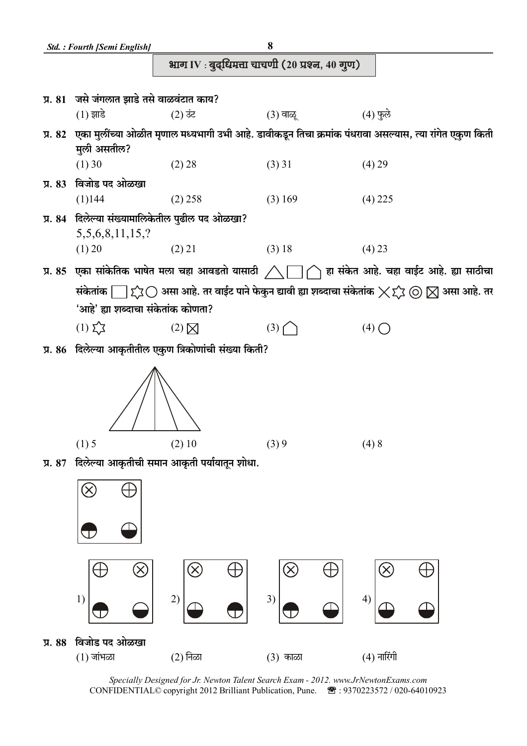

Specially Designed for Jr. Newton Talent Search Exam - 2012. www.JrNewtonExams.com CONFIDENTIAL© copyright 2012 Brilliant Publication, Pune. <sup>3</sup> : 9370223572 / 020-64010923

 $(3)$  काळा

 $3)$ 

 $4)$ 

 $(4)$  नारिंगी

 $\overline{2}$ 

(2) निळा

 $1)$ 

प्र. 88 विजोड पद ओळखा  $(1)$  जांभळा

8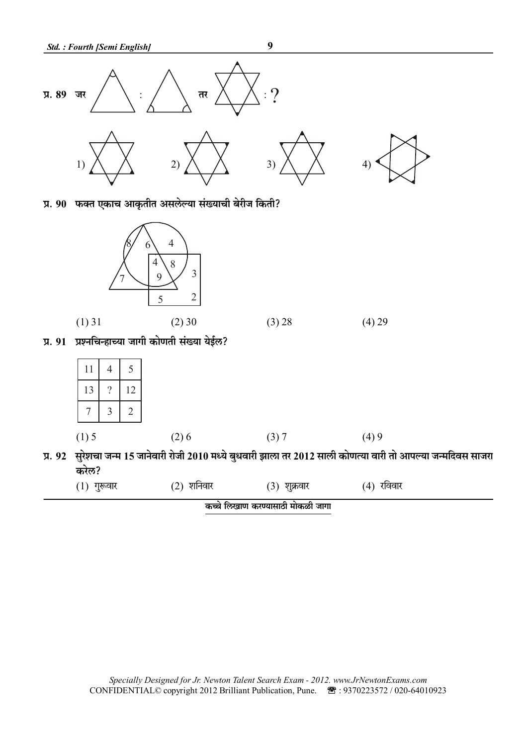

प्र. 90 फक्त एकाच आकृतीत असलेल्या संख्याची बेरीज किती?



प्र. 91 प्रश्नचिन्हाच्या जागी कोणती संख्या येईल?

| 11                   | 4        | 5              |
|----------------------|----------|----------------|
| 13                   | $\gamma$ | 12             |
|                      | 3        | $\overline{2}$ |
| $\mathcal{L}$<br>(1) |          |                |

 $(2)6$  $(3) 7$  $(4)9$  $(1)$  5 प्र. 92 सुरेशचा जन्म 15 जानेवारी रोजी 2010 मध्ये बुधवारी झाला तर 2012 साली कोणत्या वारी तो आपल्या जन्मदिवस साजरा

करेल?

| $(1)$ गुरूवार | $(2)$ शनिवार | $(3)$ शुक्रवार | (4) रविवार |
|---------------|--------------|----------------|------------|
|               |              |                |            |

कच्चे लिखाण करण्यासाठी मोकळी जागा

 $\boldsymbol{9}$